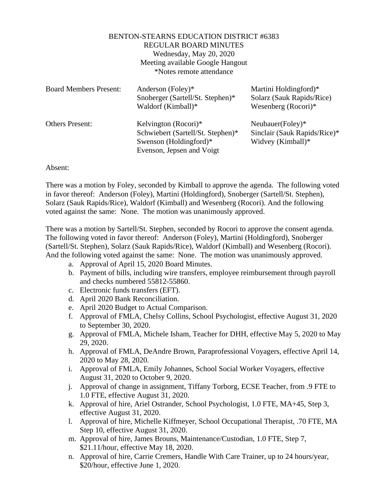## BENTON-STEARNS EDUCATION DISTRICT #6383 REGULAR BOARD MINUTES Wednesday, May 20, 2020 Meeting available Google Hangout \*Notes remote attendance

| <b>Board Members Present:</b> | Anderson (Foley)*<br>Snoberger (Sartell/St. Stephen)*<br>Waldorf (Kimball)* | Martini Holdingford)*<br>Solarz (Sauk Rapids/Rice)<br>Wesenberg $(Rocori)*$ |
|-------------------------------|-----------------------------------------------------------------------------|-----------------------------------------------------------------------------|
| <b>Others Present:</b>        | Kelvington (Rocori)*                                                        | Neubauer(Foley)*                                                            |
|                               | Schwiebert (Sartell/St. Stephen)*                                           | Sinclair (Sauk Rapids/Rice)*                                                |
|                               | Swenson (Holdingford)*                                                      | Widvey (Kimball)*                                                           |
|                               | Evenson, Jepsen and Voigt                                                   |                                                                             |

## Absent:

There was a motion by Foley, seconded by Kimball to approve the agenda. The following voted in favor thereof: Anderson (Foley), Martini (Holdingford), Snoberger (Sartell/St. Stephen), Solarz (Sauk Rapids/Rice), Waldorf (Kimball) and Wesenberg (Rocori). And the following voted against the same: None. The motion was unanimously approved.

There was a motion by Sartell/St. Stephen, seconded by Rocori to approve the consent agenda. The following voted in favor thereof: Anderson (Foley), Martini (Holdingford), Snoberger (Sartell/St. Stephen), Solarz (Sauk Rapids/Rice), Waldorf (Kimball) and Wesenberg (Rocori). And the following voted against the same: None. The motion was unanimously approved.

- a. Approval of April 15, 2020 Board Minutes.
- b. Payment of bills, including wire transfers, employee reimbursement through payroll and checks numbered 55812-55860.
- c. Electronic funds transfers (EFT).
- d. April 2020 Bank Reconciliation.
- e. April 2020 Budget to Actual Comparison.
- f. Approval of FMLA, Chelsy Collins, School Psychologist, effective August 31, 2020 to September 30, 2020.
- g. Approval of FMLA, Michele Isham, Teacher for DHH, effective May 5, 2020 to May 29, 2020.
- h. Approval of FMLA, DeAndre Brown, Paraprofessional Voyagers, effective April 14, 2020 to May 28, 2020.
- i. Approval of FMLA, Emily Johannes, School Social Worker Voyagers, effective August 31, 2020 to October 9, 2020.
- j. Approval of change in assignment, Tiffany Torborg, ECSE Teacher, from .9 FTE to 1.0 FTE, effective August 31, 2020.
- k. Approval of hire, Ariel Ostrander, School Psychologist, 1.0 FTE, MA+45, Step 3, effective August 31, 2020.
- l. Approval of hire, Michelle Kiffmeyer, School Occupational Therapist, .70 FTE, MA Step 10, effective August 31, 2020.
- m. Approval of hire, James Brouns, Maintenance/Custodian, 1.0 FTE, Step 7, \$21.11/hour, effective May 18, 2020.
- n. Approval of hire, Carrie Cremers, Handle With Care Trainer, up to 24 hours/year, \$20/hour, effective June 1, 2020.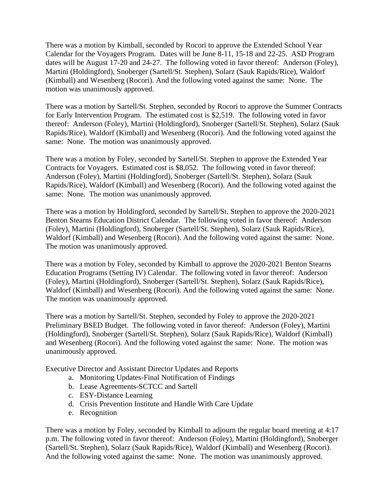There was a motion by Kimball, seconded by Rocori to approve the Extended School Year Calendar for the Voyagers Program. Dates will be June 8-11, 15-18 and 22-25. ASD Program dates will be August 17-20 and 24-27. The following voted in favor thereof: Anderson (Foley), Martini (Holdingford), Snoberger (Sartell/St. Stephen), Solarz (Sauk Rapids/Rice), Waldorf (Kimball) and Wesenberg (Rocori). And the following voted against the same: None. The motion was unanimously approved.

There was a motion by Sartell/St. Stephen, seconded by Rocori to approve the Summer Contracts for Early Intervention Program. The estimated cost is \$2,519. The following voted in favor thereof: Anderson (Foley), Martini (Holdingford), Snoberger (Sartell/St. Stephen), Solarz (Sauk Rapids/Rice), Waldorf (Kimball) and Wesenberg (Rocori). And the following voted against the same: None. The motion was unanimously approved.

There was a motion by Foley, seconded by Sartell/St. Stephen to approve the Extended Year Contracts for Voyagers. Estimated cost is \$8,052. The following voted in favor thereof: Anderson (Foley), Martini (Holdingford), Snoberger (Sartell/St. Stephen), Solarz (Sauk Rapids/Rice), Waldorf (Kimball) and Wesenberg (Rocori). And the following voted against the same: None. The motion was unanimously approved.

There was a motion by Holdingford, seconded by Sartell/St. Stephen to approve the 2020-2021 Benton Stearns Education District Calendar. The following voted in favor thereof: Anderson (Foley), Martini (Holdingford), Snoberger (Sartell/St. Stephen), Solarz (Sauk Rapids/Rice), Waldorf (Kimball) and Wesenberg (Rocori). And the following voted against the same: None. The motion was unanimously approved.

There was a motion by Foley, seconded by Kimball to approve the 2020-2021 Benton Stearns Education Programs (Setting IV) Calendar. The following voted in favor thereof: Anderson (Foley), Martini (Holdingford), Snoberger (Sartell/St. Stephen), Solarz (Sauk Rapids/Rice), Waldorf (Kimball) and Wesenberg (Rocori). And the following voted against the same: None. The motion was unanimously approved.

There was a motion by Sartell/St. Stephen, seconded by Foley to approve the 2020-2021 Preliminary BSED Budget. The following voted in favor thereof: Anderson (Foley), Martini (Holdingford), Snoberger (Sartell/St. Stephen), Solarz (Sauk Rapids/Rice), Waldorf (Kimball) and Wesenberg (Rocori). And the following voted against the same: None. The motion was unanimously approved.

Executive Director and Assistant Director Updates and Reports

- a. Monitoring Updates-Final Notification of Findings
- b. Lease Agreements-SCTCC and Sartell
- c. ESY-Distance Learning
- d. Crisis Prevention Institute and Handle With Care Update
- e. Recognition

There was a motion by Foley, seconded by Kimball to adjourn the regular board meeting at 4:17 p.m. The following voted in favor thereof: Anderson (Foley), Martini (Holdingford), Snoberger (Sartell/St. Stephen), Solarz (Sauk Rapids/Rice), Waldorf (Kimball) and Wesenberg (Rocori). And the following voted against the same: None. The motion was unanimously approved.